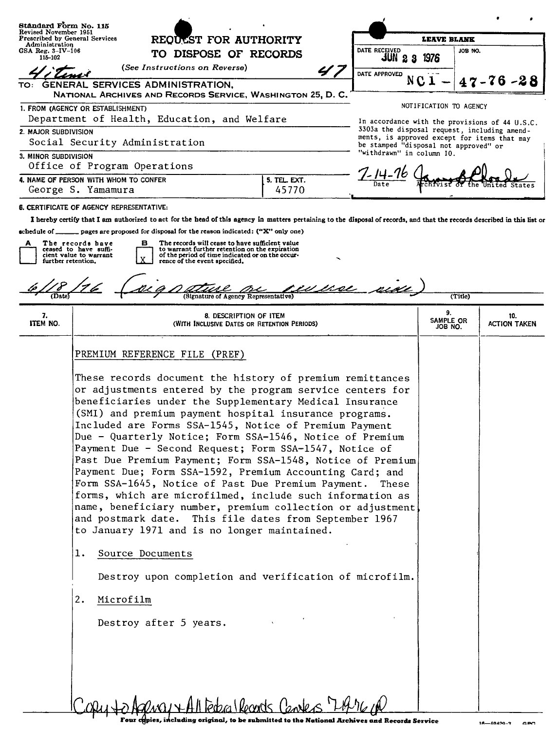| Standard Form No. 115                                                                 |                                                                                                                                                                                                                                                                                                                                                                                                                                                                              |                                                                                                                                                                                                                                                                                                                                                                                                                                                                                                                                           |                                                                                                                                                                           |                                                                                       |                                                                                                |                            |  |
|---------------------------------------------------------------------------------------|------------------------------------------------------------------------------------------------------------------------------------------------------------------------------------------------------------------------------------------------------------------------------------------------------------------------------------------------------------------------------------------------------------------------------------------------------------------------------|-------------------------------------------------------------------------------------------------------------------------------------------------------------------------------------------------------------------------------------------------------------------------------------------------------------------------------------------------------------------------------------------------------------------------------------------------------------------------------------------------------------------------------------------|---------------------------------------------------------------------------------------------------------------------------------------------------------------------------|---------------------------------------------------------------------------------------|------------------------------------------------------------------------------------------------|----------------------------|--|
| Revised November 1951<br>Prescribed by General Services<br>Administration             |                                                                                                                                                                                                                                                                                                                                                                                                                                                                              | REQUEST FOR AUTHORITY                                                                                                                                                                                                                                                                                                                                                                                                                                                                                                                     |                                                                                                                                                                           |                                                                                       | <b>LEAVE BLANK</b>                                                                             |                            |  |
| $GSA$ Reg. $3-IV-106$<br>115-102                                                      |                                                                                                                                                                                                                                                                                                                                                                                                                                                                              | TO DISPOSE OF RECORDS                                                                                                                                                                                                                                                                                                                                                                                                                                                                                                                     |                                                                                                                                                                           | DATE RECEIVED<br>JUN<br>2<br>-3                                                       | JOB NO.<br>1976                                                                                |                            |  |
| (See Instructions on Reverse)                                                         |                                                                                                                                                                                                                                                                                                                                                                                                                                                                              | 4.                                                                                                                                                                                                                                                                                                                                                                                                                                                                                                                                        | DATE APPROVED                                                                                                                                                             |                                                                                       |                                                                                                |                            |  |
| TO:                                                                                   |                                                                                                                                                                                                                                                                                                                                                                                                                                                                              | GENERAL SERVICES ADMINISTRATION,                                                                                                                                                                                                                                                                                                                                                                                                                                                                                                          | NATIONAL ARCHIVES AND RECORDS SERVICE, WASHINGTON 25, D. C.                                                                                                               |                                                                                       |                                                                                                | $47 - 76 - 28$             |  |
|                                                                                       | 1. FROM (AGENCY OR ESTABLISHMENT)                                                                                                                                                                                                                                                                                                                                                                                                                                            |                                                                                                                                                                                                                                                                                                                                                                                                                                                                                                                                           |                                                                                                                                                                           |                                                                                       | NOTIFICATION TO AGENCY                                                                         |                            |  |
| Department of Health, Education, and Welfare                                          |                                                                                                                                                                                                                                                                                                                                                                                                                                                                              |                                                                                                                                                                                                                                                                                                                                                                                                                                                                                                                                           |                                                                                                                                                                           |                                                                                       | In accordance with the provisions of 44 U.S.C.<br>3303a the disposal request, including amend- |                            |  |
| 2. MAJOR SUBDIVISION                                                                  |                                                                                                                                                                                                                                                                                                                                                                                                                                                                              | Social Security Administration                                                                                                                                                                                                                                                                                                                                                                                                                                                                                                            |                                                                                                                                                                           | ments, is approved except for items that may<br>be stamped "disposal not approved" or |                                                                                                |                            |  |
| 3. MINOR SUBDIVISION                                                                  |                                                                                                                                                                                                                                                                                                                                                                                                                                                                              |                                                                                                                                                                                                                                                                                                                                                                                                                                                                                                                                           | "withdrawn" in column IO.                                                                                                                                                 |                                                                                       |                                                                                                |                            |  |
| Office of Program Operations<br>4. NAME OF PERSON WITH WHOM TO CONFER<br>5. TEL. EXT. |                                                                                                                                                                                                                                                                                                                                                                                                                                                                              |                                                                                                                                                                                                                                                                                                                                                                                                                                                                                                                                           |                                                                                                                                                                           | ′- 14-                                                                                |                                                                                                |                            |  |
| George S. Yamamura                                                                    |                                                                                                                                                                                                                                                                                                                                                                                                                                                                              |                                                                                                                                                                                                                                                                                                                                                                                                                                                                                                                                           | 45770                                                                                                                                                                     |                                                                                       |                                                                                                |                            |  |
|                                                                                       | <b>6. CERTIFICATE OF AGENCY REPRESENTATIVE:</b>                                                                                                                                                                                                                                                                                                                                                                                                                              |                                                                                                                                                                                                                                                                                                                                                                                                                                                                                                                                           |                                                                                                                                                                           |                                                                                       |                                                                                                |                            |  |
|                                                                                       |                                                                                                                                                                                                                                                                                                                                                                                                                                                                              |                                                                                                                                                                                                                                                                                                                                                                                                                                                                                                                                           | I hereby certify that I am authorized to act for the head of this agency in matters pertaining to the disposal of records, and that the records described in this list or |                                                                                       |                                                                                                |                            |  |
| schedule of ___                                                                       | The records have                                                                                                                                                                                                                                                                                                                                                                                                                                                             | pages are proposed for disposal for the reason indicated: ("X" only one)<br>The records will cease to have sufficient value<br>в                                                                                                                                                                                                                                                                                                                                                                                                          |                                                                                                                                                                           |                                                                                       |                                                                                                |                            |  |
|                                                                                       | ceased to have suffi-<br>cient value to warrant                                                                                                                                                                                                                                                                                                                                                                                                                              | to warrant further retention on the expiration<br>of the period of time indicated or on the occur-                                                                                                                                                                                                                                                                                                                                                                                                                                        |                                                                                                                                                                           |                                                                                       |                                                                                                |                            |  |
| further retention.                                                                    |                                                                                                                                                                                                                                                                                                                                                                                                                                                                              | rence of the event specified.                                                                                                                                                                                                                                                                                                                                                                                                                                                                                                             |                                                                                                                                                                           |                                                                                       |                                                                                                |                            |  |
|                                                                                       |                                                                                                                                                                                                                                                                                                                                                                                                                                                                              |                                                                                                                                                                                                                                                                                                                                                                                                                                                                                                                                           |                                                                                                                                                                           |                                                                                       |                                                                                                |                            |  |
| (Date)                                                                                |                                                                                                                                                                                                                                                                                                                                                                                                                                                                              |                                                                                                                                                                                                                                                                                                                                                                                                                                                                                                                                           | (Signature of Agency Representative)                                                                                                                                      |                                                                                       | (Title)                                                                                        |                            |  |
| 7.<br>ITEM NO.                                                                        |                                                                                                                                                                                                                                                                                                                                                                                                                                                                              |                                                                                                                                                                                                                                                                                                                                                                                                                                                                                                                                           | 8. DESCRIPTION OF ITEM<br>(WITH INCLUSIVE DATES OR RETENTION PERIODS)                                                                                                     |                                                                                       | 9.<br>SAMPLE OR<br>JOB NO.                                                                     | 10.<br><b>ACTION TAKEN</b> |  |
|                                                                                       | PREMIUM REFERENCE FILE (PREF)                                                                                                                                                                                                                                                                                                                                                                                                                                                |                                                                                                                                                                                                                                                                                                                                                                                                                                                                                                                                           |                                                                                                                                                                           |                                                                                       |                                                                                                |                            |  |
|                                                                                       | beneficiaries under the Supplementary Medical Insurance<br>(SMI) and premium payment hospital insurance programs.<br>Included are Forms SSA-1545, Notice of Premium Payment<br>Payment Due - Second Request; Form SSA-1547, Notice of<br>Form SSA-1645, Notice of Past Due Premium Payment.<br>and postmark date. This file dates from September 1967<br>to January 1971 and is no longer maintained.<br>Source Documents<br>ı.<br>2.<br>Microfilm<br>Destroy after 5 years. | These records document the history of premium remittances<br>or adjustments entered by the program service centers for<br>Due - Quarterly Notice; Form SSA-1546, Notice of Premium<br>Past Due Premium Payment; Form SSA-1548, Notice of Premium<br>Payment Due; Form SSA-1592, Premium Accounting Card; and<br>These<br>forms, which are microfilmed, include such information as<br>name, beneficiary number, premium collection or adjustment<br>Destroy upon completion and verification of microfilm.<br>Redica Rocords Canaless Ltt |                                                                                                                                                                           |                                                                                       |                                                                                                |                            |  |